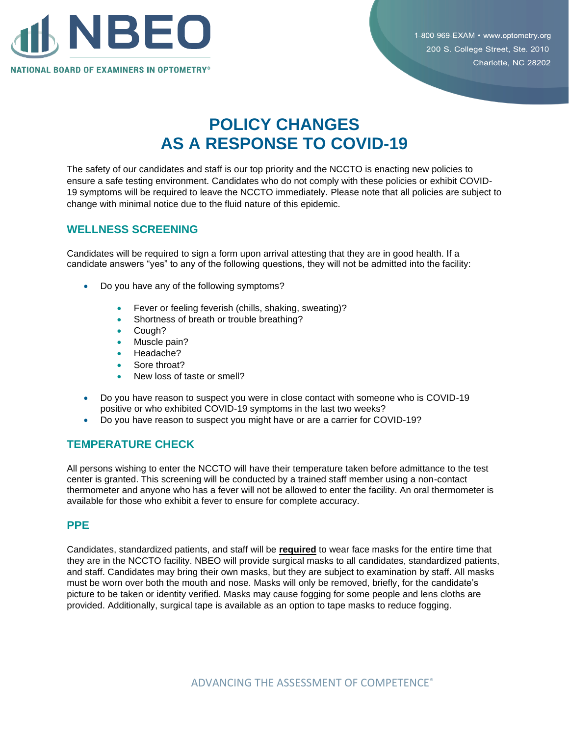

1-800-969-EXAM • www.optometry.org 200 S. College Street, Ste. 2010 Charlotte, NC 28202

# **POLICY CHANGES AS A RESPONSE TO COVID-19**

The safety of our candidates and staff is our top priority and the NCCTO is enacting new policies to ensure a safe testing environment. Candidates who do not comply with these policies or exhibit COVID-19 symptoms will be required to leave the NCCTO immediately. Please note that all policies are subject to change with minimal notice due to the fluid nature of this epidemic.

### **WELLNESS SCREENING**

Candidates will be required to sign a form upon arrival attesting that they are in good health. If a candidate answers "yes" to any of the following questions, they will not be admitted into the facility:

- Do you have any of the following symptoms?
	- Fever or feeling feverish (chills, shaking, sweating)?
	- Shortness of breath or trouble breathing?
	- Cough?
	- Muscle pain?
	- Headache?
	- Sore throat?
	- New loss of taste or smell?
- Do you have reason to suspect you were in close contact with someone who is COVID-19 positive or who exhibited COVID-19 symptoms in the last two weeks?
- Do you have reason to suspect you might have or are a carrier for COVID-19?

## **TEMPERATURE CHECK**

All persons wishing to enter the NCCTO will have their temperature taken before admittance to the test center is granted. This screening will be conducted by a trained staff member using a non-contact thermometer and anyone who has a fever will not be allowed to enter the facility. An oral thermometer is available for those who exhibit a fever to ensure for complete accuracy.

#### **PPE**

Candidates, standardized patients, and staff will be **required** to wear face masks for the entire time that they are in the NCCTO facility. NBEO will provide surgical masks to all candidates, standardized patients, and staff. Candidates may bring their own masks, but they are subject to examination by staff. All masks must be worn over both the mouth and nose. Masks will only be removed, briefly, for the candidate's picture to be taken or identity verified. Masks may cause fogging for some people and lens cloths are provided. Additionally, surgical tape is available as an option to tape masks to reduce fogging.